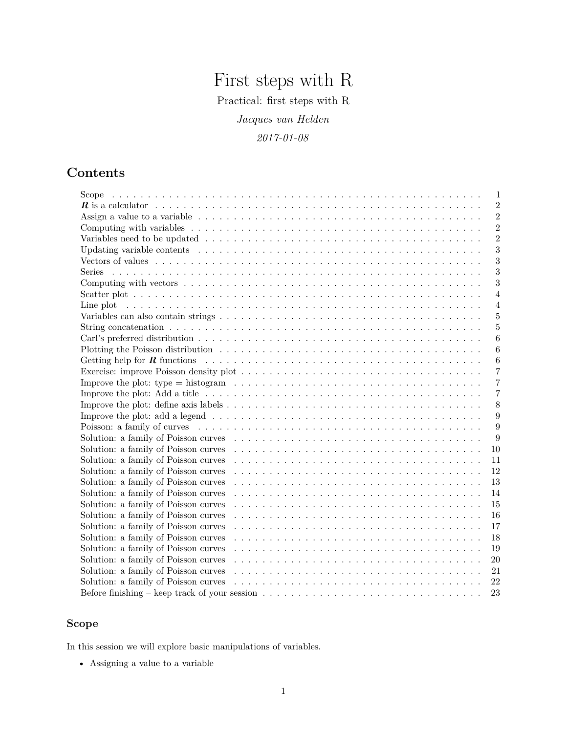# First steps with R

Practical: first steps with R

*Jacques van Helden*

*2017-01-08*

## **Contents**

| Scope<br>1                                                                                                                            |
|---------------------------------------------------------------------------------------------------------------------------------------|
| $\overline{2}$                                                                                                                        |
| $\overline{2}$                                                                                                                        |
| $\overline{2}$                                                                                                                        |
| $\overline{2}$                                                                                                                        |
| 3                                                                                                                                     |
| 3                                                                                                                                     |
| 3<br><b>Series</b>                                                                                                                    |
| 3                                                                                                                                     |
| $\overline{4}$                                                                                                                        |
| 4                                                                                                                                     |
| 5                                                                                                                                     |
| $\overline{5}$                                                                                                                        |
| 6                                                                                                                                     |
| 6                                                                                                                                     |
| 6                                                                                                                                     |
| $\overline{7}$                                                                                                                        |
| Improve the plot: type = histogram $\ldots \ldots \ldots \ldots \ldots \ldots \ldots \ldots \ldots \ldots \ldots \ldots \ldots$<br>7  |
| 7                                                                                                                                     |
| 8                                                                                                                                     |
| Improve the plot: add a legend $\dots \dots \dots \dots \dots \dots \dots \dots \dots \dots \dots \dots \dots \dots \dots \dots$<br>9 |
| 9                                                                                                                                     |
| 9                                                                                                                                     |
| 10                                                                                                                                    |
| 11                                                                                                                                    |
| 12                                                                                                                                    |
| 13                                                                                                                                    |
| 14                                                                                                                                    |
| 15                                                                                                                                    |
| Solution: a family of Poisson curves<br>16                                                                                            |
| Solution: a family of Poisson curves<br>17                                                                                            |
| Solution: a family of Poisson curves<br>18                                                                                            |
| Solution: a family of Poisson curves<br>19                                                                                            |
| Solution: a family of Poisson curves<br>20                                                                                            |
| Solution: a family of Poisson curves<br>21                                                                                            |
| Solution: a family of Poisson curves<br>22                                                                                            |
| Before finishing – keep track of your session $\ldots \ldots \ldots \ldots \ldots \ldots \ldots \ldots \ldots \ldots \ldots$<br>23    |

## <span id="page-0-0"></span>**Scope**

In this session we will explore basic manipulations of variables.

• Assigning a value to a variable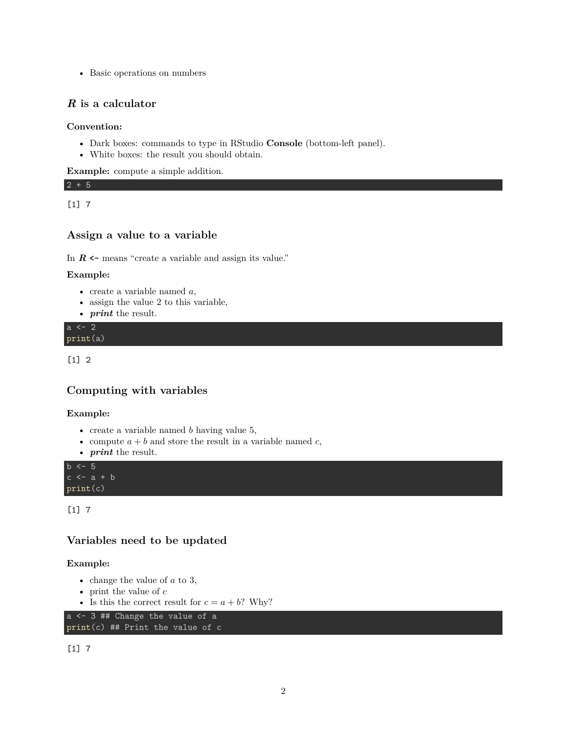• Basic operations on numbers

#### <span id="page-1-0"></span>*R* **is a calculator**

#### **Convention:**

- Dark boxes: commands to type in RStudio **Console** (bottom-left panel).
- White boxes: the result you should obtain.

**Example:** compute a simple addition.

2 + 5 [1] 7

#### <span id="page-1-1"></span>**Assign a value to a variable**

In  $R \leftarrow$  means "create a variable and assign its value."

#### **Example:**

- create a variable named *a*,
- assign the value 2 to this variable,
- *print* the result.

 $a \leftarrow 2$ print(a)

[1] 2

#### <span id="page-1-2"></span>**Computing with variables**

#### **Example:**

- create a variable named *b* having value 5,
- compute  $a + b$  and store the result in a variable named  $c$ ,
- *print* the result.

 $b \le -5$  $c \leftarrow a + b$ print(c)

[1] 7

#### <span id="page-1-3"></span>**Variables need to be updated**

#### **Example:**

- change the value of *a* to 3,
- print the value of *c*
- Is this the correct result for  $c = a + b$ ? Why?

```
a <- 3 ## Change the value of a
print(c) ## Print the value of c
```
[1] 7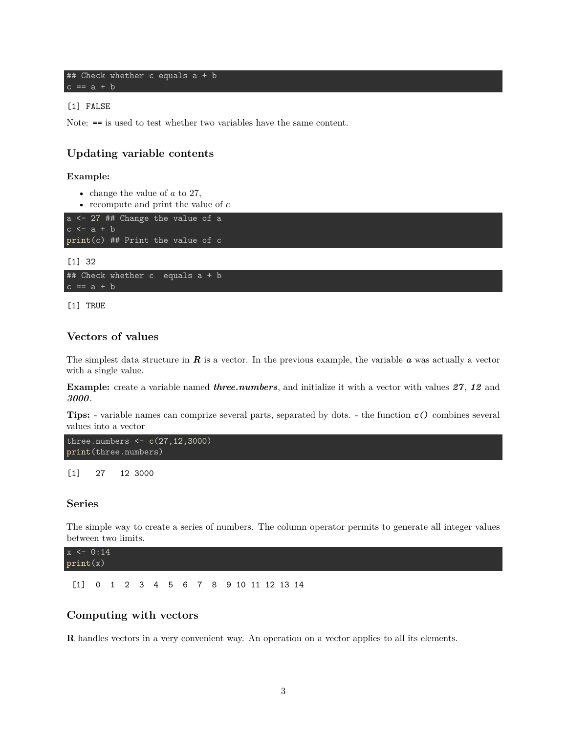```
## Check whether c equals a + b
c == a + b
```
#### [1] FALSE

Note: **==** is used to test whether two variables have the same content.

#### <span id="page-2-0"></span>**Updating variable contents**

#### **Example:**

- change the value of *a* to 27,
- recompute and print the value of *c*

```
a <- 27 ## Change the value of a
print(c) ## Print the value of c
```
[1] 32

```
## Check whether c equals a + b
c == a + b
```
[1] TRUE

#### <span id="page-2-1"></span>**Vectors of values**

The simplest data structure in *R* is a vector. In the previous example, the variable *a* was actually a vector with a single value.

**Example:** create a variable named *three.numbers*, and initialize it with a vector with values *27*, *12* and *3000*.

**Tips:** - variable names can comprize several parts, separated by dots. - the function **c()** combines several values into a vector

```
three.numbers <- c(27,12,3000)
print(three.numbers)
```
[1] 27 12 3000

#### <span id="page-2-2"></span>**Series**

The simple way to create a series of numbers. The column operator permits to generate all integer values between two limits.

 $x \leftarrow 0:14$ print(x)

[1] 0 1 2 3 4 5 6 7 8 9 10 11 12 13 14

#### <span id="page-2-3"></span>**Computing with vectors**

**R** handles vectors in a very convenient way. An operation on a vector applies to all its elements.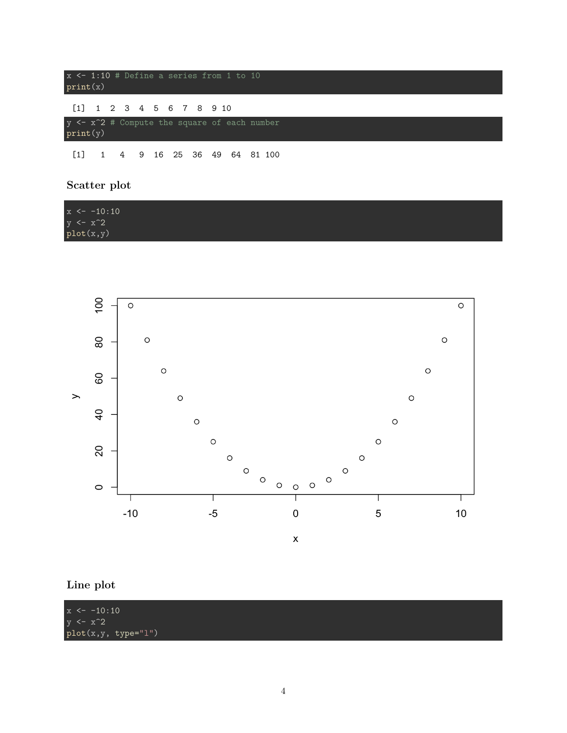| $x \leftarrow 1:10$ # Define a series from 1 to 10<br>print(x)      |  |  |  |  |                                                               |  |  |  |  |  |  |  |  |  |  |  |
|---------------------------------------------------------------------|--|--|--|--|---------------------------------------------------------------|--|--|--|--|--|--|--|--|--|--|--|
| $[1]$ 1 2 3 4 5 6 7 8 9 10                                          |  |  |  |  |                                                               |  |  |  |  |  |  |  |  |  |  |  |
| y <- x <sup>2</sup> # Compute the square of each number<br>print(y) |  |  |  |  |                                                               |  |  |  |  |  |  |  |  |  |  |  |
|                                                                     |  |  |  |  | $\begin{bmatrix} 1 \end{bmatrix}$ 1 4 9 16 25 36 49 64 81 100 |  |  |  |  |  |  |  |  |  |  |  |

## <span id="page-3-0"></span>**Scatter plot**

| $x \leftarrow -10:10$ |  |
|-----------------------|--|
| $y \leftarrow x^2$    |  |
| plot(x,y)             |  |



## <span id="page-3-1"></span>**Line plot**

| $x \leftarrow -10:10$ |  |  |
|-----------------------|--|--|
| $y \leftarrow x^2$    |  |  |
| $plot(x,y, type="1")$ |  |  |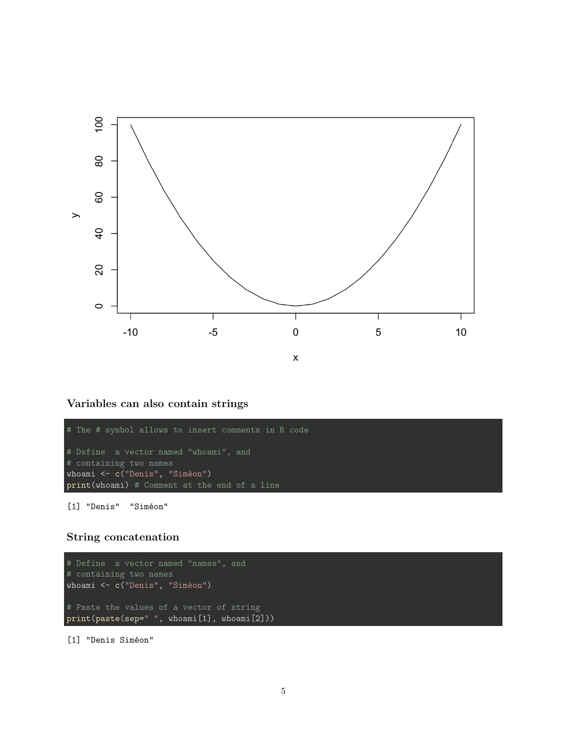

<span id="page-4-0"></span>**Variables can also contain strings**

```
# The # symbol allows to insert comments in R code
# containing two names
whoami <- c("Denis", "Siméon")
print(whoami) # Comment at the end of a line
```
[1] "Denis" "Siméon"

## <span id="page-4-1"></span>**String concatenation**

```
# containing two names
whoami <- c("Denis", "Siméon")
# Paste the values of a vector of string
print(paste(sep=" ", whoami[1], whoami[2]))
```
[1] "Denis Siméon"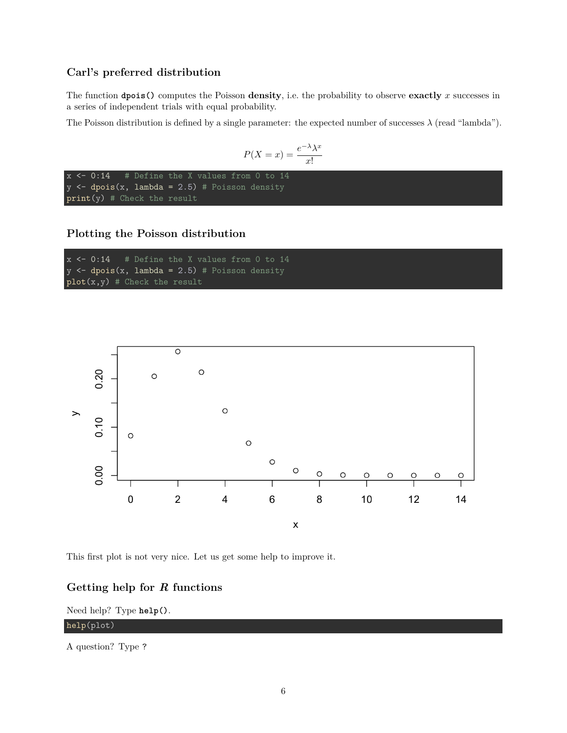#### <span id="page-5-0"></span>**Carl's preferred distribution**

The function **dpois()** computes the Poisson **density**, i.e. the probability to observe **exactly** *x* successes in a series of independent trials with equal probability.

The Poisson distribution is defined by a single parameter: the expected number of successes  $\lambda$  (read "lambda").

$$
P(X = x) = \frac{e^{-\lambda}\lambda^x}{x!}
$$

```
x <- 0:14 # Define the X values from 0 to 14
y \leftarrow dpois(x, lambda = 2.5) # Poisson density
print(y) # Check the result
```
### <span id="page-5-1"></span>**Plotting the Poisson distribution**

```
x \leftarrow 0:14 # Define the X values from 0 to 14
y \leftarrow dpois(x, lambda = 2.5) # Poisson density
plot(x,y) # Check the result
```


This first plot is not very nice. Let us get some help to improve it.

#### <span id="page-5-2"></span>**Getting help for** *R* **functions**

#### Need help? Type **help()**.

#### help(plot)

A question? Type ?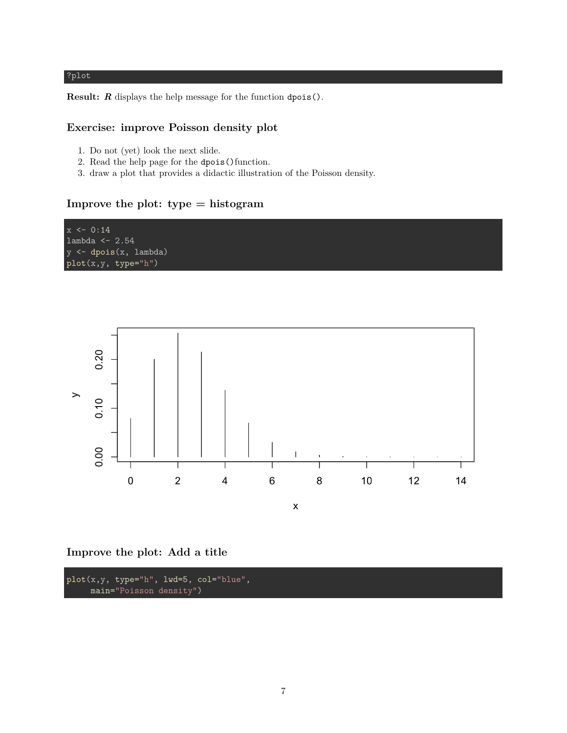#### ?plot

**Result:** *R* displays the help message for the function dpois().

#### <span id="page-6-0"></span>**Exercise: improve Poisson density plot**

- 1. Do not (yet) look the next slide.
- 2. Read the help page for the dpois()function.
- 3. draw a plot that provides a didactic illustration of the Poisson density.

#### <span id="page-6-1"></span>**Improve the plot: type = histogram**





<span id="page-6-2"></span>**Improve the plot: Add a title**

plot(x,y, type="h", lwd=5, col="blue", main="Poisson density")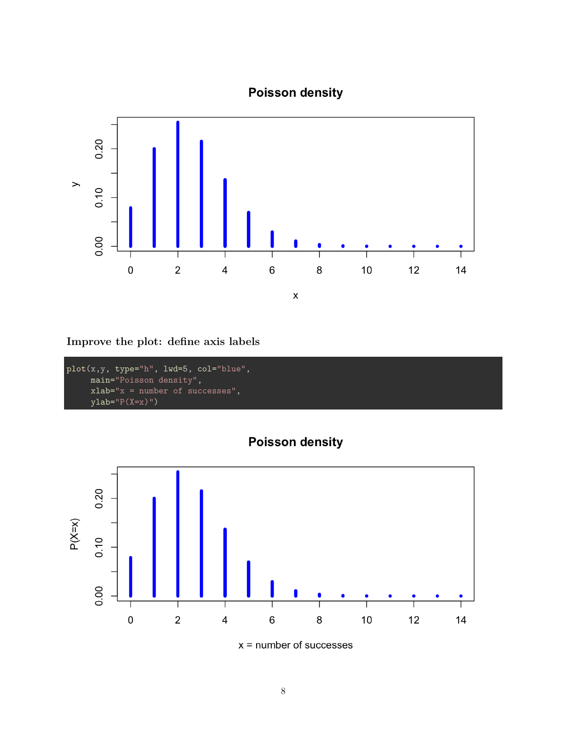



<span id="page-7-0"></span>**Improve the plot: define axis labels**

```
plot(x,y, type="h", lwd=5, col="blue",main="Poisson density",
     xlab="x = number of successes",
     ylab="P(X=x)")
```


 $x =$  number of successes

**Poisson density**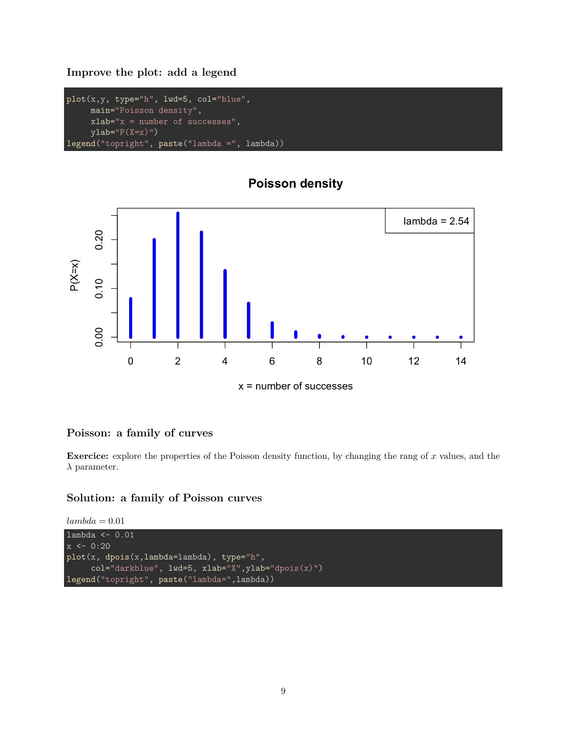#### <span id="page-8-0"></span>**Improve the plot: add a legend**

```
plot(x,y, type="h", lwd=5, col="blue",
     main="Poisson density",
     xlab="x = number of successes",
     ylab="P(X=x)")
legend("topright", paste("lambda =", lambda))
```
## **Poisson density**



 $x =$  number of successes

#### <span id="page-8-1"></span>**Poisson: a family of curves**

**Exercice:** explore the properties of the Poisson density function, by changing the rang of x values, and the *λ* parameter.

```
lambda = 0.01
```

```
lambda <- 0.01
x \leftarrow 0:20plot(x, dpois(x,lambda=lambda), type="h",
     col="darkblue", lwd=5, xlab="X",ylab="dpois(x)")
legend("topright", paste("lambda=",lambda))
```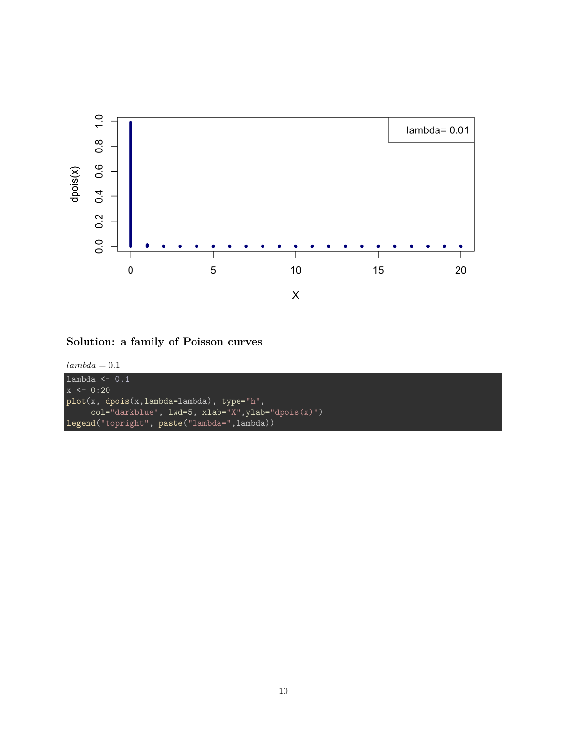

```
lambda = 0.1
```

```
lambda <- 0.1
x \leftarrow 0:20plot(x, dpois(x, lambda=lambda), type="h",
     col="darkblue", lwd=5, xlab="X",ylab="dpois(x)")
legend("topright", paste("lambda=",lambda))
```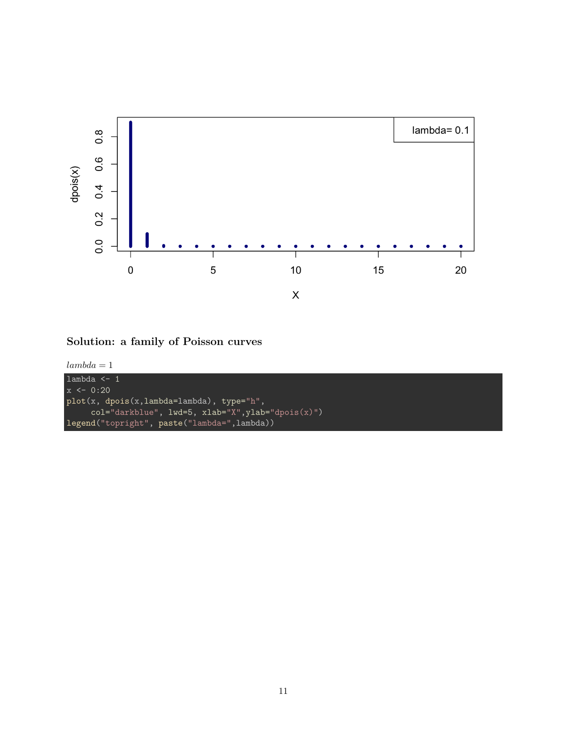

<span id="page-10-0"></span>**Solution: a family of Poisson curves**

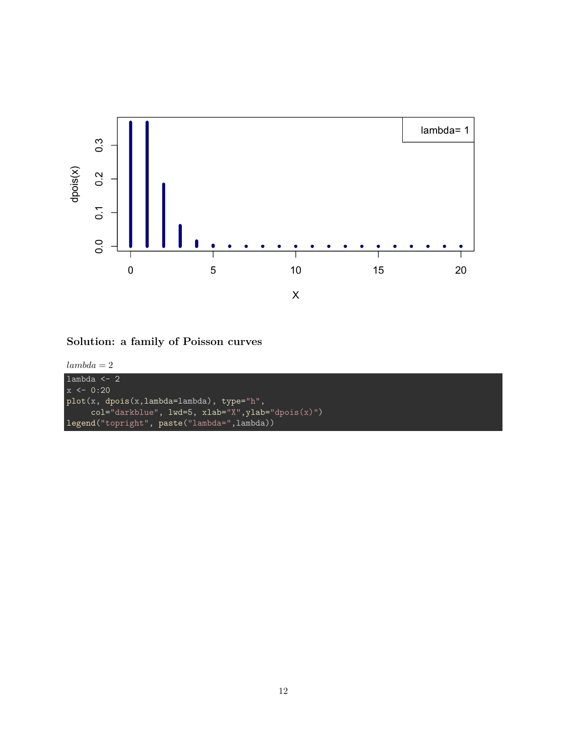

<span id="page-11-0"></span>**Solution: a family of Poisson curves**



```
lambda <- 2
x \leftarrow 0:20plot(x, dpois(x, lambda=lambda), type="h",
     col="darkblue", lwd=5, xlab="X",ylab="dpois(x)")
legend("topright", paste("lambda=",lambda))
```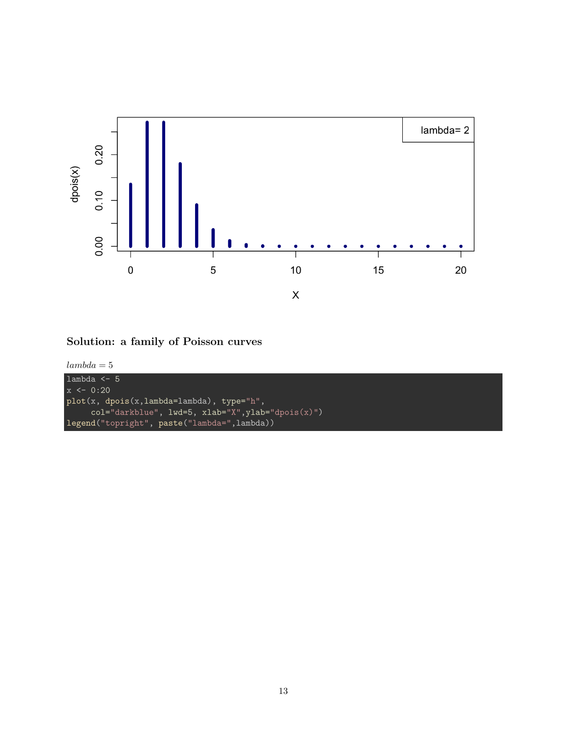

<span id="page-12-0"></span>**Solution: a family of Poisson curves**



```
lambda <- 5
x \leftarrow 0:20plot(x, dpois(x, lambda=lambda), type="h",
     col="darkblue", lwd=5, xlab="X",ylab="dpois(x)")
legend("topright", paste("lambda=",lambda))
```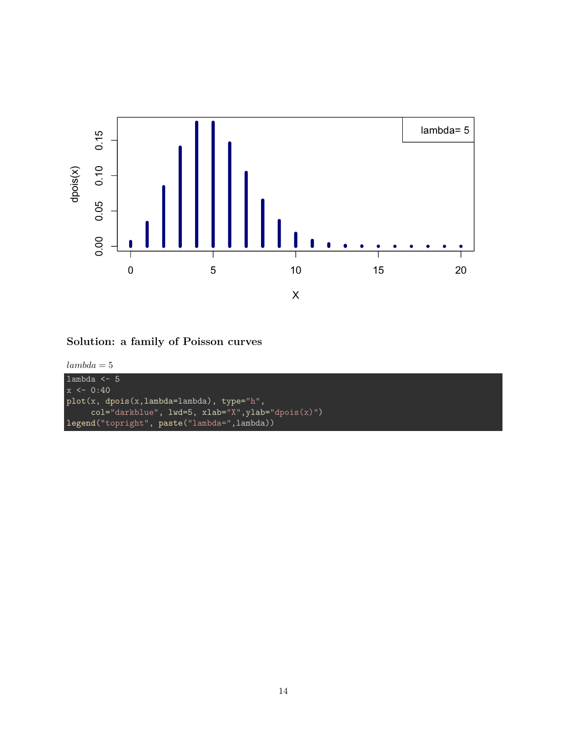

<span id="page-13-0"></span>

```
lambda <- 5
x \leftarrow 0:40plot(x, dpois(x, lambda=lambda), type="h",
     col="darkblue", lwd=5, xlab="X",ylab="dpois(x)")
legend("topright", paste("lambda=",lambda))
```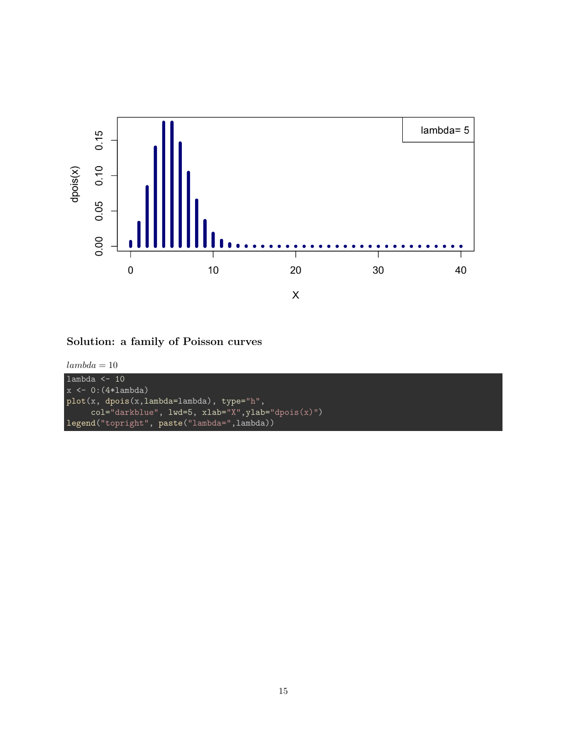

```
lambda = 10
```

```
lambda <-10x \leftarrow 0: (4*lambda)
plot(x, dpois(x, lambda=lambda), type="h",
     col="darkblue", lwd=5, xlab="X",ylab="dpois(x)")
legend("topright", paste("lambda=",lambda))
```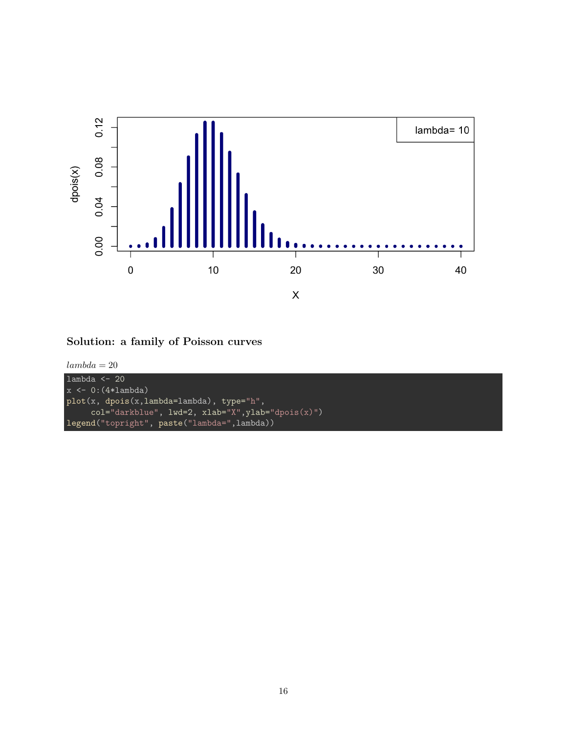

```
lambda = 20
```

```
lambda <- 20
x \leftarrow 0: (4*lambda)
plot(x, dpois(x, lambda=lambda), type="h",
     col="darkblue", lwd=2, xlab="X",ylab="dpois(x)")
legend("topright", paste("lambda=",lambda))
```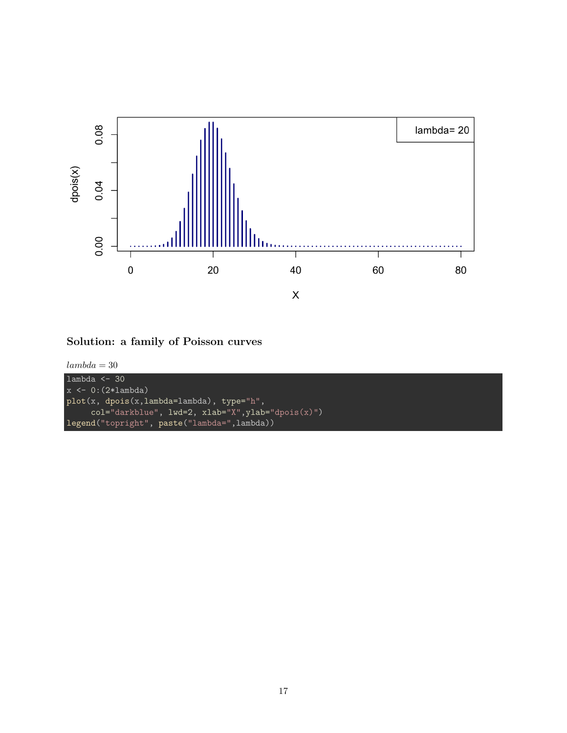

```
lambda = 30
```

```
lambda <- 30
x \leftarrow 0: (2*lambda)
plot(x, dpois(x, lambda=lambda), type="h",
     col="darkblue", lwd=2, xlab="X",ylab="dpois(x)")
legend("topright", paste("lambda=",lambda))
```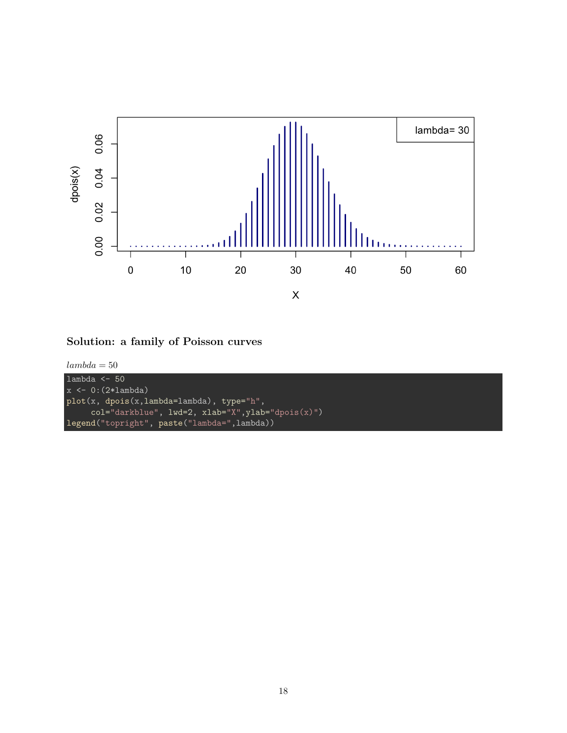

```
lambda = 50
```

```
lambda <- 50
x \leftarrow 0: (2*lambda)
plot(x, dpois(x, lambda=lambda), type="h",
     col="darkblue", lwd=2, xlab="X",ylab="dpois(x)")
legend("topright", paste("lambda=",lambda))
```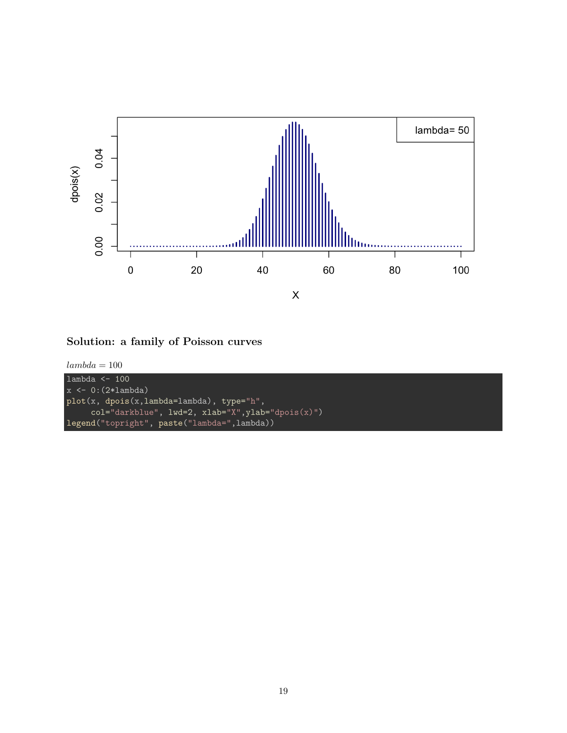

```
lambda=100
```

```
lambda <- 100
x \leftarrow 0: (2*lambda)
plot(x, dpois(x, lambda=lambda), type="h",
     col="darkblue", lwd=2, xlab="X",ylab="dpois(x)")
legend("topright", paste("lambda=",lambda))
```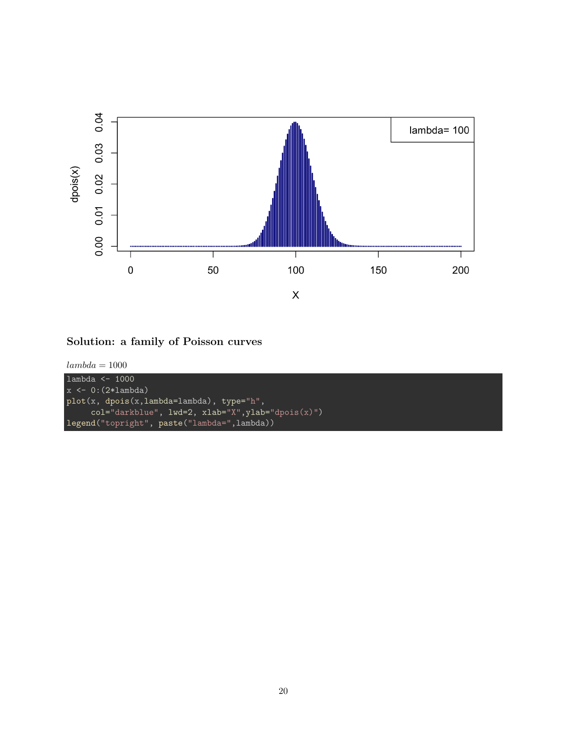

```
lambda=1000
```

```
lambda <- 1000
x \leftarrow 0: (2*lambda)
plot(x, dpois(x, lambda=lambda), type="h",
     col="darkblue", lwd=2, xlab="X",ylab="dpois(x)")
legend("topright", paste("lambda=",lambda))
```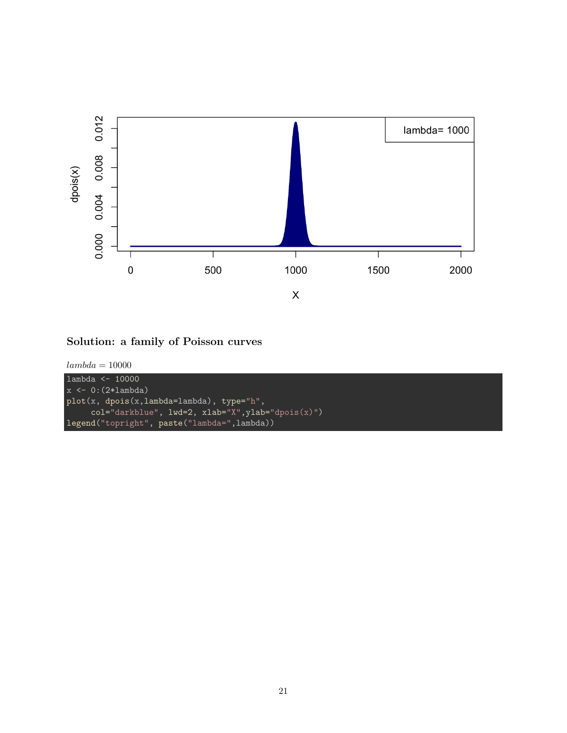

```
lambda=10000
```

```
lambda <- 10000
x \leftarrow 0: (2*lambda)
plot(x, dpois(x, lambda=lambda), type="h",
     col="darkblue", lwd=2, xlab="X",ylab="dpois(x)")
legend("topright", paste("lambda=",lambda))
```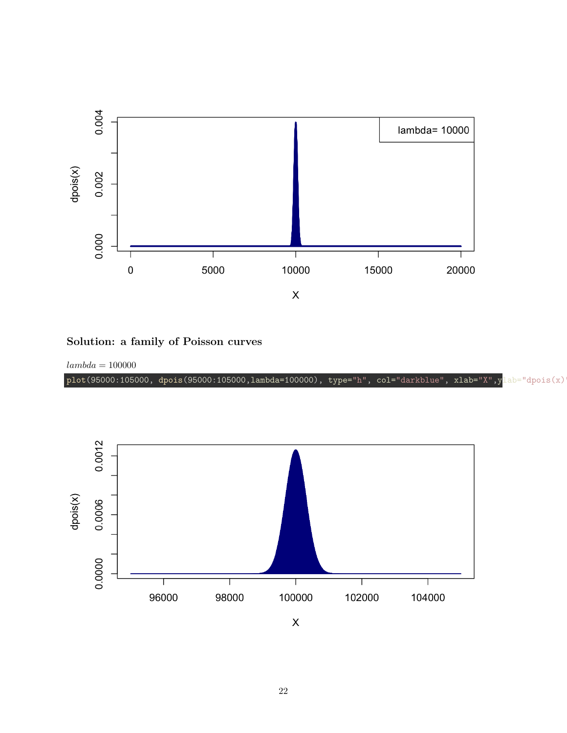

<span id="page-21-0"></span>*lambda* = 100000

plot(95000:105000, dpois(95000:105000,lambda=100000), type="h", col="darkblue", xlab="X",ylab="dpois(x)



 $\sf X$